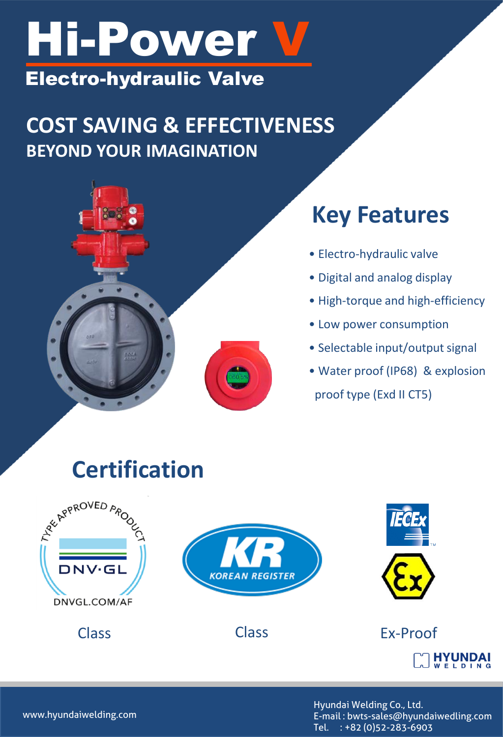# Hi-Power

#### Electro-hydraulic Valve

### **COST SAVING & EFFECTIVENESS BEYOND YOUR IMAGINATION**



### **Key Features**

- Electro-hydraulic valve
- Digital and analog display
- High-torque and high-efficiency
- Low power consumption
- Selectable input/output signal
- Water proof (IP68) & explosion proof type (Exd II CT5)

### **Certification**



Hyundai Welding Co., Ltd. E-mail : bwts-sales@hyundaiwedling.com Tel. : +82 (0)52-283-6903

WELDING